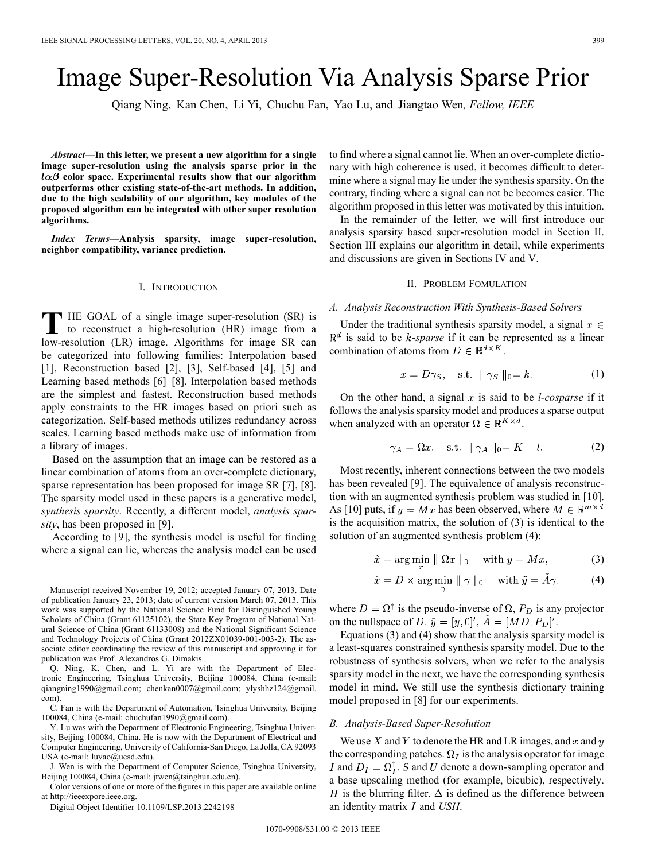# Image Super-Resolution Via Analysis Sparse Prior

Qiang Ning, Kan Chen, Li Yi, Chuchu Fan, Yao Lu, and Jiangtao Wen*, Fellow, IEEE*

*Abstract—***In this letter, we present a new algorithm for a single image super-resolution using the analysis sparse prior in the**  $l\alpha\beta$  color space. Experimental results show that our algorithm **outperforms other existing state-of-the-art methods. In addition, due to the high scalability of our algorithm, key modules of the proposed algorithm can be integrated with other super resolution algorithms.**

*Index Terms—***Analysis sparsity, image super-resolution, neighbor compatibility, variance prediction.**

## I. INTRODUCTION

**T** HE GOAL of a single image super-resolution (SR) is to reconstruct a high second in  $\frac{1}{2}$ to reconstruct a high-resolution (HR) image from a low-resolution (LR) image. Algorithms for image SR can be categorized into following families: Interpolation based [1], Reconstruction based [2], [3], Self-based [4], [5] and Learning based methods [6]–[8]. Interpolation based methods are the simplest and fastest. Reconstruction based methods apply constraints to the HR images based on priori such as categorization. Self-based methods utilizes redundancy across scales. Learning based methods make use of information from a library of images.

Based on the assumption that an image can be restored as a linear combination of atoms from an over-complete dictionary, sparse representation has been proposed for image SR [7], [8]. The sparsity model used in these papers is a generative model, *synthesis sparsity*. Recently, a different model, *analysis sparsity*, has been proposed in [9].

According to [9], the synthesis model is useful for finding where a signal can lie, whereas the analysis model can be used

Manuscript received November 19, 2012; accepted January 07, 2013. Date of publication January 23, 2013; date of current version March 07, 2013. This work was supported by the National Science Fund for Distinguished Young Scholars of China (Grant 61125102), the State Key Program of National Natural Science of China (Grant 61133008) and the National Significant Science and Technology Projects of China (Grant 2012ZX01039-001-003-2). The associate editor coordinating the review of this manuscript and approving it for publication was Prof. Alexandros G. Dimakis.

Q. Ning, K. Chen, and L. Yi are with the Department of Electronic Engineering, Tsinghua University, Beijing 100084, China (e-mail: qiangning1990@gmail.com; chenkan0007@gmail.com; ylyshhz124@gmail. com).

C. Fan is with the Department of Automation, Tsinghua University, Beijing 100084, China (e-mail: chuchufan1990@gmail.com).

Y. Lu was with the Department of Electronic Engineering, Tsinghua University, Beijing 100084, China. He is now with the Department of Electrical and Computer Engineering, University of California-San Diego, La Jolla, CA 92093 USA (e-mail: luyao@ucsd.edu).

J. Wen is with the Department of Computer Science, Tsinghua University, Beijing 100084, China (e-mail: jtwen@tsinghua.edu.cn).

Color versions of one or more of the figures in this paper are available online at http://ieeexpore.ieee.org.

Digital Object Identifier 10.1109/LSP.2013.2242198

to find where a signal cannot lie. When an over-complete dictionary with high coherence is used, it becomes difficult to determine where a signal may lie under the synthesis sparsity. On the contrary, finding where a signal can not be becomes easier. The algorithm proposed in this letter was motivated by this intuition.

In the remainder of the letter, we will first introduce our analysis sparsity based super-resolution model in Section II. Section III explains our algorithm in detail, while experiments and discussions are given in Sections IV and V.

## II. PROBLEM FOMULATION

## *A. Analysis Reconstruction With Synthesis-Based Solvers*

Under the traditional synthesis sparsity model, a signal  $x \in$  $\mathbb{R}^d$  is said to be *k*-*sparse* if it can be represented as a linear combination of atoms from  $D \in \mathbb{R}^{d \times K}$ .

$$
x = D\gamma_S, \quad \text{s.t. } \|\gamma_S\|_0 = k. \tag{1}
$$

On the other hand, a signal  $x$  is said to be *l-cosparse* if it follows the analysis sparsity model and produces a sparse output when analyzed with an operator  $\Omega \in \mathbb{R}^{K \times d}$ .

$$
\gamma_A = \Omega x, \quad \text{s.t. } \|\gamma_A\|_0 = K - l. \tag{2}
$$

Most recently, inherent connections between the two models has been revealed [9]. The equivalence of analysis reconstruction with an augmented synthesis problem was studied in [10]. As [10] puts, if  $y = Mx$  has been observed, where  $M \in \mathbb{R}^{m \times d}$ is the acquisition matrix, the solution of (3) is identical to the solution of an augmented synthesis problem (4):

$$
\hat{x} = \arg\min_{x} \parallel \Omega x \parallel_0 \quad \text{with } y = Mx,\tag{3}
$$

$$
\hat{x} = D \times \arg\min \| \gamma \|_0 \quad \text{with } \tilde{y} = \tilde{A}\gamma,
$$
 (4)

where  $D = \Omega^{\dagger}$  is the pseudo-inverse of  $\Omega$ ,  $P_D$  is any projector on the nullspace of D,  $\tilde{y} = [y, 0]', \tilde{A} = [MD, P_D]'.$ 

Equations (3) and (4) show that the analysis sparsity model is a least-squares constrained synthesis sparsity model. Due to the robustness of synthesis solvers, when we refer to the analysis sparsity model in the next, we have the corresponding synthesis model in mind. We still use the synthesis dictionary training model proposed in [8] for our experiments.

#### *B. Analysis-Based Super-Resolution*

We use X and Y to denote the HR and LR images, and x and y the corresponding patches.  $\Omega_I$  is the analysis operator for image I and  $D_I = \Omega_I^{\dagger}$ . S and U denote a down-sampling operator and a base upscaling method (for example, bicubic), respectively. H is the blurring filter.  $\Delta$  is defined as the difference between an identity matrix  $I$  and  $USH$ .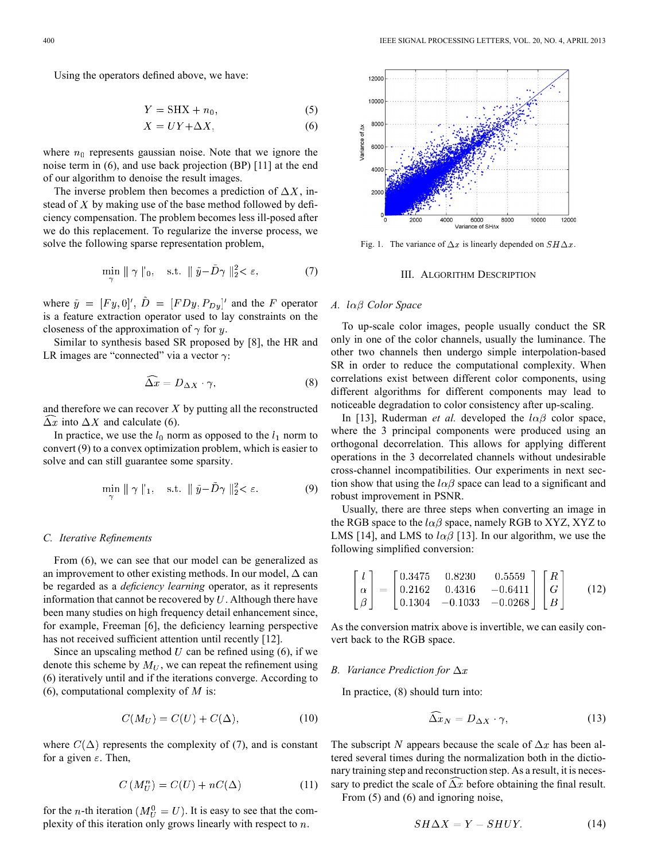Using the operators defined above, we have:

$$
Y = SHX + n_0,\t\t(5)
$$

$$
X = UY + \Delta X,\tag{6}
$$

where  $n_0$  represents gaussian noise. Note that we ignore the noise term in (6), and use back projection (BP) [11] at the end of our algorithm to denoise the result images.

The inverse problem then becomes a prediction of  $\Delta X$ , instead of  $X$  by making use of the base method followed by deficiency compensation. The problem becomes less ill-posed after we do this replacement. To regularize the inverse process, we solve the following sparse representation problem,

$$
\min_{\mathbf{v}} \parallel \gamma \parallel_0, \quad \text{s.t. } \parallel \tilde{y} - D\gamma \parallel_2^2 < \varepsilon,\tag{7}
$$

where  $\tilde{y} = [Fy, 0]', \tilde{D} = [FDy, P_{Dy}]'$  and the F operator is a feature extraction operator used to lay constraints on the closeness of the approximation of  $\gamma$  for y.

Similar to synthesis based SR proposed by [8], the HR and LR images are "connected" via a vector  $\gamma$ :

$$
\widehat{\Delta x} = D_{\Delta X} \cdot \gamma,\tag{8}
$$

and therefore we can recover  $X$  by putting all the reconstructed  $\Delta x$  into  $\Delta X$  and calculate (6).

In practice, we use the  $l_0$  norm as opposed to the  $l_1$  norm to convert (9) to a convex optimization problem, which is easier to solve and can still guarantee some sparsity.

$$
\min_{\alpha} \|\gamma\|_1, \quad \text{s.t. } \|\tilde{y} - D\gamma\|_2^2 < \varepsilon. \tag{9}
$$

#### *C. Iterative Refinements*

From (6), we can see that our model can be generalized as an improvement to other existing methods. In our model,  $\Delta$  can be regarded as a *deficiency learning* operator, as it represents information that cannot be recovered by  $U$ . Although there have been many studies on high frequency detail enhancement since, for example, Freeman [6], the deficiency learning perspective has not received sufficient attention until recently [12].

Since an upscaling method  $U$  can be refined using (6), if we denote this scheme by  $M_U$ , we can repeat the refinement using (6) iteratively until and if the iterations converge. According to (6), computational complexity of  $M$  is:

$$
C(M_U) = C(U) + C(\Delta), \tag{10}
$$

where  $C(\Delta)$  represents the complexity of (7), and is constant for a given  $\varepsilon$ . Then,

$$
C\left(M_{U}^{n}\right) = C(U) + nC(\Delta) \tag{11}
$$

for the *n*-th iteration  $(M_{II}^0 = U)$ . It is easy to see that the complexity of this iteration only grows linearly with respect to  $n$ .



Fig. 1. The variance of  $\Delta x$  is linearly depended on  $SH\Delta x$ .

#### III. ALGORITHM DESCRIPTION

## *A. Color Space*

To up-scale color images, people usually conduct the SR only in one of the color channels, usually the luminance. The other two channels then undergo simple interpolation-based SR in order to reduce the computational complexity. When correlations exist between different color components, using different algorithms for different components may lead to noticeable degradation to color consistency after up-scaling.

In [13], Ruderman *et al.* developed the  $l\alpha\beta$  color space, where the 3 principal components were produced using an orthogonal decorrelation. This allows for applying different operations in the 3 decorrelated channels without undesirable cross-channel incompatibilities. Our experiments in next section show that using the  $l\alpha\beta$  space can lead to a significant and robust improvement in PSNR.

Usually, there are three steps when converting an image in the RGB space to the  $l\alpha\beta$  space, namely RGB to XYZ, XYZ to LMS [14], and LMS to  $l\alpha\beta$  [13]. In our algorithm, we use the following simplified conversion:

$$
\begin{bmatrix} l \\ \alpha \\ \beta \end{bmatrix} = \begin{bmatrix} 0.3475 & 0.8230 & 0.5559 \\ 0.2162 & 0.4316 & -0.6411 \\ 0.1304 & -0.1033 & -0.0268 \end{bmatrix} \begin{bmatrix} R \\ G \\ B \end{bmatrix}
$$
 (12)

As the conversion matrix above is invertible, we can easily convert back to the RGB space.

#### *B. Variance Prediction for*

In practice, (8) should turn into:

$$
\widehat{\Delta x}_N = D_{\Delta X} \cdot \gamma,\tag{13}
$$

The subscript N appears because the scale of  $\Delta x$  has been altered several times during the normalization both in the dictionary training step and reconstruction step. As a result, it is necessary to predict the scale of  $\Delta x$  before obtaining the final result. From  $(5)$  and  $(6)$  and ignoring noise,

$$
SH\Delta X = Y - SHUY.
$$
 (14)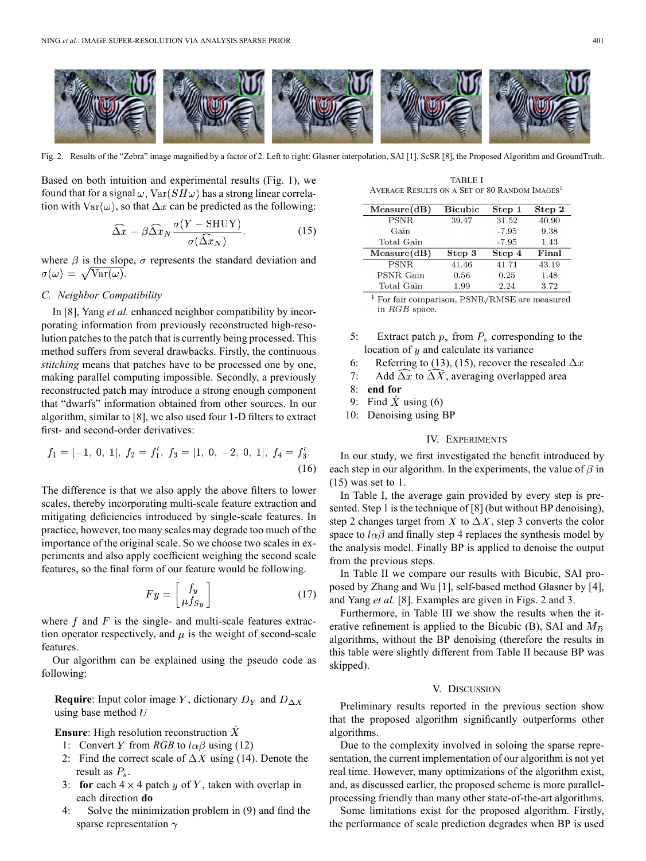

Fig. 2. Results of the "Zebra" image magnified by a factor of 2. Left to right: Glasner interpolation, SAI [1], ScSR [8], the Proposed Algorithm and GroundTruth.

Based on both intuition and experimental results (Fig. 1), we found that for a signal  $\omega$ ,  $\text{Var}(SH\omega)$  has a strong linear correlation with  $\text{Var}(\omega)$ , so that  $\Delta x$  can be predicted as the following:

$$
\widehat{\Delta x} = \beta \widehat{\Delta x}_N \frac{\sigma (Y - \text{SHUY})}{\sigma (\widehat{\Delta x}_N)},\tag{15}
$$

where  $\beta$  is the slope,  $\sigma$  represents the standard deviation and  $\sigma(\omega) = \sqrt{\text{Var}(\omega)}$ .

### *C. Neighbor Compatibility*

In [8], Yang *et al.* enhanced neighbor compatibility by incorporating information from previously reconstructed high-resolution patches to the patch that is currently being processed. This method suffers from several drawbacks. Firstly, the continuous *stitching* means that patches have to be processed one by one, making parallel computing impossible. Secondly, a previously reconstructed patch may introduce a strong enough component that "dwarfs" information obtained from other sources. In our algorithm, similar to [8], we also used four 1-D filters to extract first- and second-order derivatives:

$$
f_1 = [-1, 0, 1], f_2 = f'_1, f_3 = [1, 0, -2, 0, 1], f_4 = f'_3.
$$
\n(16)

The difference is that we also apply the above filters to lower scales, thereby incorporating multi-scale feature extraction and mitigating deficiencies introduced by single-scale features. In practice, however, too many scales may degrade too much of the importance of the original scale. So we choose two scales in experiments and also apply coefficient weighing the second scale features, so the final form of our feature would be following.

$$
Fy = \begin{bmatrix} f_y \\ \mu f_{Sy} \end{bmatrix} \tag{17}
$$

where  $f$  and  $F$  is the single- and multi-scale features extraction operator respectively, and  $\mu$  is the weight of second-scale features.

Our algorithm can be explained using the pseudo code as following:

**Require**: Input color image Y, dictionary  $D_Y$  and  $D_{\Delta X}$ using base method  $U$ 

**Ensure**: High resolution reconstruction  $\hat{X}$ 

- 1: Convert Y from *RGB* to  $l\alpha\beta$  using (12)
- 2: Find the correct scale of  $\Delta X$  using (14). Denote the result as  $P_s$ .
- 3: **for** each  $4 \times 4$  patch y of Y, taken with overlap in each direction **do**
- 4: Solve the minimization problem in (9) and find the sparse representation  $\gamma$

TABLE I AVERAGE RESULTS ON A SET OF 80 RANDOM IMAGES

| Measure(dB) | <b>Bicubic</b> | Step 1  | Step 2 |
|-------------|----------------|---------|--------|
| <b>PSNR</b> | 39.47          | 31.52   | 40.90  |
| Gain        |                | $-7.95$ | 9.38   |
| Total Gain  |                | $-7.95$ | 1.43   |
| Measure(dB) | Step 3         | Step 4  | Final  |
| PSNR.       | 41.46          | 41.71   | 43.19  |
| PSNR Gain   | 0.56           | 0.25    | 1.48   |
| Total Gain  | 1.99           | 2.24    | 3.72   |

 $1$  For fair comparison, PSNR/RMSE are measured in RGB space.

- 5: Extract patch  $p_s$  from  $P_s$  corresponding to the location of  $y$  and calculate its variance
- 6: Referring to (13), (15), recover the rescaled  $\Delta x$
- 7: Add  $\Delta x$  to  $\Delta X$ , averaging overlapped area
- 8: **end for**
- 9: Find  $\overline{X}$  using (6)
- 10: Denoising using BP

#### IV. EXPERIMENTS

In our study, we first investigated the benefit introduced by each step in our algorithm. In the experiments, the value of  $\beta$  in (15) was set to 1.

In Table I, the average gain provided by every step is presented. Step 1 is the technique of [8] (but without BP denoising), step 2 changes target from X to  $\Delta X$ , step 3 converts the color space to  $l\alpha\beta$  and finally step 4 replaces the synthesis model by the analysis model. Finally BP is applied to denoise the output from the previous steps.

In Table II we compare our results with Bicubic, SAI proposed by Zhang and Wu [1], self-based method Glasner by [4], and Yang *et al.* [8]. Examples are given in Figs. 2 and 3.

Furthermore, in Table III we show the results when the iterative refinement is applied to the Bicubic (B), SAI and  $M_B$ algorithms, without the BP denoising (therefore the results in this table were slightly different from Table II because BP was skipped).

#### V. DISCUSSION

Preliminary results reported in the previous section show that the proposed algorithm significantly outperforms other algorithms.

Due to the complexity involved in soloing the sparse representation, the current implementation of our algorithm is not yet real time. However, many optimizations of the algorithm exist, and, as discussed earlier, the proposed scheme is more parallelprocessing friendly than many other state-of-the-art algorithms.

Some limitations exist for the proposed algorithm. Firstly, the performance of scale prediction degrades when BP is used